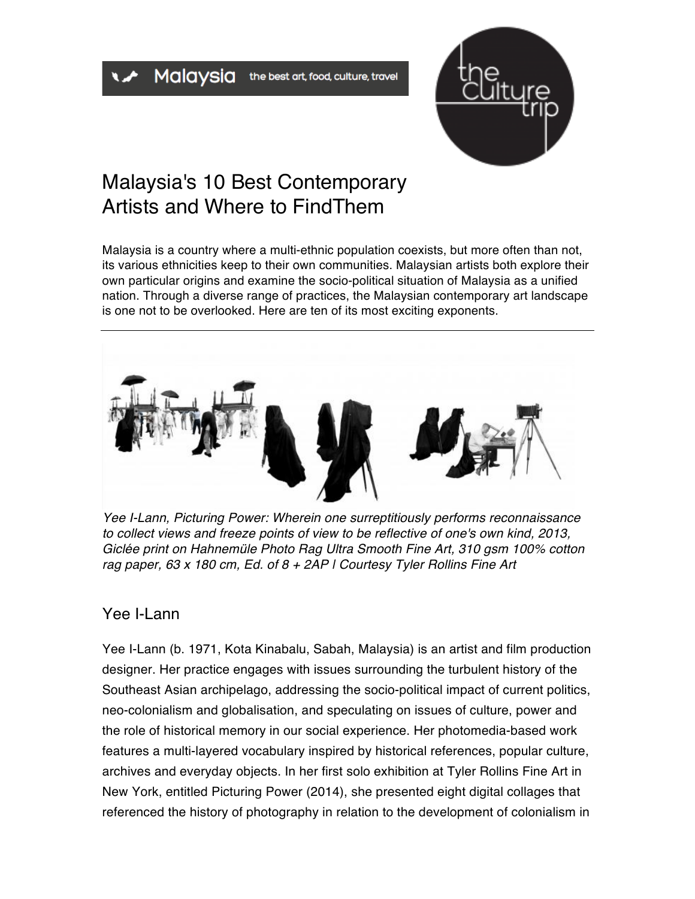

## Malaysia's 10 Best Contemporary Artists and Where to Find Them

Malaysia is a country where a multi-ethnic population coexists, but more often than not, its various ethnicities keep to their own communities. Malaysian artists both explore their own particular origins and examine the socio-political situation of Malaysia as a unified nation. Through a diverse range of practices, the Malaysian contemporary art landscape is one not to be overlooked. Here are ten of its most exciting exponents.



*Yee I-Lann, Picturing Power: Wherein one surreptitiously performs reconnaissance to collect views and freeze points of view to be reflective of one's own kind, 2013, Giclée print on Hahnemüle Photo Rag Ultra Smooth Fine Art, 310 gsm 100% cotton rag paper, 63 x 180 cm, Ed. of 8 + 2AP | Courtesy Tyler Rollins Fine Art*

## Yee I-Lann

Yee I-Lann (b. 1971, Kota Kinabalu, Sabah, Malaysia) is an artist and film production designer. Her practice engages with issues surrounding the turbulent history of the Southeast Asian archipelago, addressing the socio-political impact of current politics, neo-colonialism and globalisation, and speculating on issues of culture, power and the role of historical memory in our social experience. Her photomedia-based work features a multi-layered vocabulary inspired by historical references, popular culture, archives and everyday objects. In her first solo exhibition at Tyler Rollins Fine Art in New York, entitled Picturing Power (2014), she presented eight digital collages that referenced the history of photography in relation to the development of colonialism in